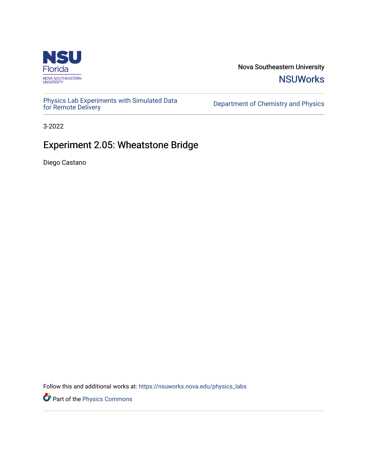

Nova Southeastern University **NSUWorks** 

[Physics Lab Experiments with Simulated Data](https://nsuworks.nova.edu/physics_labs) Department of Chemistry and Physics<br>for Remote Delivery

3-2022

# Experiment 2.05: Wheatstone Bridge

Diego Castano

Follow this and additional works at: [https://nsuworks.nova.edu/physics\\_labs](https://nsuworks.nova.edu/physics_labs?utm_source=nsuworks.nova.edu%2Fphysics_labs%2F16&utm_medium=PDF&utm_campaign=PDFCoverPages)

Part of the [Physics Commons](http://network.bepress.com/hgg/discipline/193?utm_source=nsuworks.nova.edu%2Fphysics_labs%2F16&utm_medium=PDF&utm_campaign=PDFCoverPages)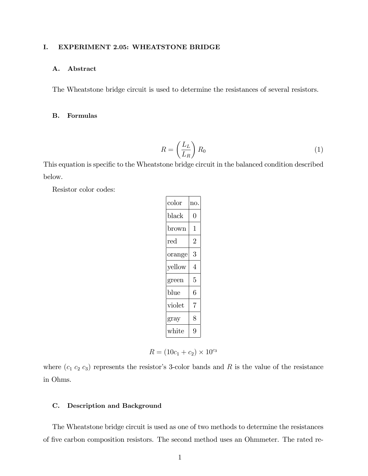#### I. EXPERIMENT 2.05: WHEATSTONE BRIDGE

#### A. Abstract

The Wheatstone bridge circuit is used to determine the resistances of several resistors.

#### B. Formulas

$$
R = \left(\frac{L_L}{L_R}\right) R_0 \tag{1}
$$

This equation is specific to the Wheatstone bridge circuit in the balanced condition described below.

Resistor color codes:

| color  | no. |
|--------|-----|
| black  | 0   |
| brown  | 1   |
| red    | 2   |
| orange | 3   |
| vellow | 4   |
| green  | 5   |
| blue   | 6   |
| violet | 7   |
| gray   | 8   |
| white  | g   |

$$
R = (10c_1 + c_2) \times 10^{c_3}
$$

where  $(c_1 c_2 c_3)$  represents the resistor's 3-color bands and R is the value of the resistance in Ohms.

#### C. Description and Background

The Wheatstone bridge circuit is used as one of two methods to determine the resistances of five carbon composition resistors. The second method uses an Ohmmeter. The rated re-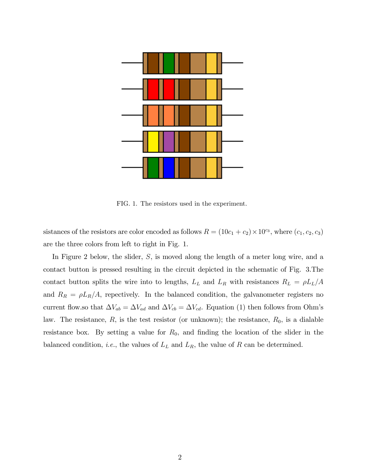

FIG. 1. The resistors used in the experiment.

sistances of the resistors are color encoded as follows  $R = (10c_1 + c_2) \times 10^{c_3}$ , where  $(c_1, c_2, c_3)$ are the three colors from left to right in Fig. 1.

In Figure 2 below, the slider, S, is moved along the length of a meter long wire, and a contact button is pressed resulting in the circuit depicted in the schematic of Fig. 3.The contact button splits the wire into to lengths,  $L_L$  and  $L_R$  with resistances  $R_L = \rho L_L/A$ and  $R_R = \rho L_R/A$ , repectively. In the balanced condition, the galvanometer registers no current flow.so that  $\Delta V_{ab} = \Delta V_{ad}$  and  $\Delta V_{cb} = \Delta V_{cd}$ . Equation (1) then follows from Ohm's law. The resistance,  $R$ , is the test resistor (or unknown); the resistance,  $R_0$ , is a dialable resistance box. By setting a value for  $R_0$ , and finding the location of the slider in the balanced condition, *i.e.*, the values of  $L<sub>L</sub>$  and  $L<sub>R</sub>$ , the value of R can be determined.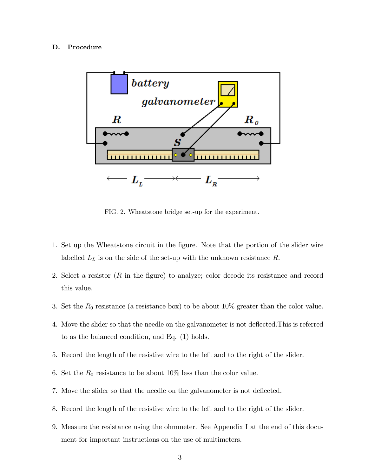#### D. Procedure



FIG. 2. Wheatstone bridge set-up for the experiment.

- 1. Set up the Wheatstone circuit in the Ögure. Note that the portion of the slider wire labelled  $L<sub>L</sub>$  is on the side of the set-up with the unknown resistance R.
- 2. Select a resistor  $(R \text{ in the figure})$  to analyze; color decode its resistance and record this value.
- 3. Set the  $R_0$  resistance (a resistance box) to be about 10% greater than the color value.
- 4. Move the slider so that the needle on the galvanometer is not deáected.This is referred to as the balanced condition, and Eq. (1) holds.
- 5. Record the length of the resistive wire to the left and to the right of the slider.
- 6. Set the  $R_0$  resistance to be about 10% less than the color value.
- 7. Move the slider so that the needle on the galvanometer is not deflected.
- 8. Record the length of the resistive wire to the left and to the right of the slider.
- 9. Measure the resistance using the ohmmeter. See Appendix I at the end of this document for important instructions on the use of multimeters.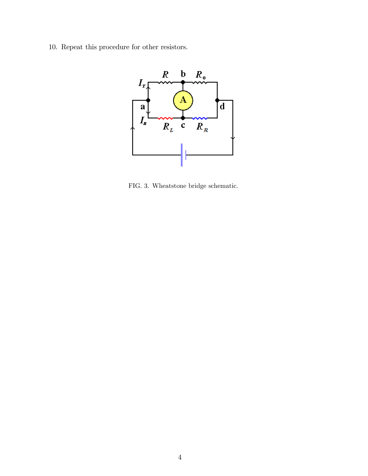10. Repeat this procedure for other resistors.



FIG. 3. Wheatstone bridge schematic.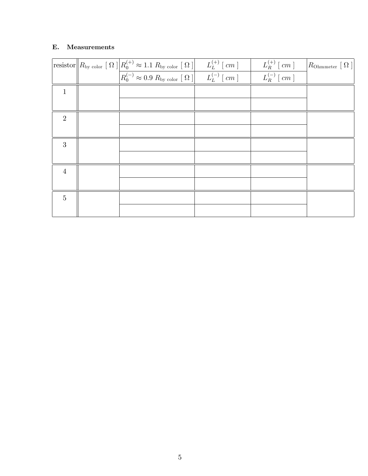## E. Measurements

|                | $\boxed{\text{resistor}\left R_{\text{by color}}\right[\Omega\left \begin{array}{c c} R_0^{(+)} \approx 1.1\ R_{\text{by color}}\left[\Omega\right]\end{array}\begin{array}{c c} L_L^{(+)}\left[\,c m\,\right]\end{array}}\right.\ \begin{array}{c c} \hline L_L^{(-)}\left[\,c m\,\right]\end{array}}$ | $L_R^{(+)}$ [ $cm$ ] | $\big R_{\rm Ohmmeter}\left[\ \Omega\ \right]\big $ |
|----------------|---------------------------------------------------------------------------------------------------------------------------------------------------------------------------------------------------------------------------------------------------------------------------------------------------------|----------------------|-----------------------------------------------------|
|                |                                                                                                                                                                                                                                                                                                         | $L_R^{(-)}$ [ cm ]   |                                                     |
| 1              |                                                                                                                                                                                                                                                                                                         |                      |                                                     |
|                |                                                                                                                                                                                                                                                                                                         |                      |                                                     |
| $\overline{2}$ |                                                                                                                                                                                                                                                                                                         |                      |                                                     |
|                |                                                                                                                                                                                                                                                                                                         |                      |                                                     |
| 3              |                                                                                                                                                                                                                                                                                                         |                      |                                                     |
|                |                                                                                                                                                                                                                                                                                                         |                      |                                                     |
| $\overline{4}$ |                                                                                                                                                                                                                                                                                                         |                      |                                                     |
|                |                                                                                                                                                                                                                                                                                                         |                      |                                                     |
| $\overline{5}$ |                                                                                                                                                                                                                                                                                                         |                      |                                                     |
|                |                                                                                                                                                                                                                                                                                                         |                      |                                                     |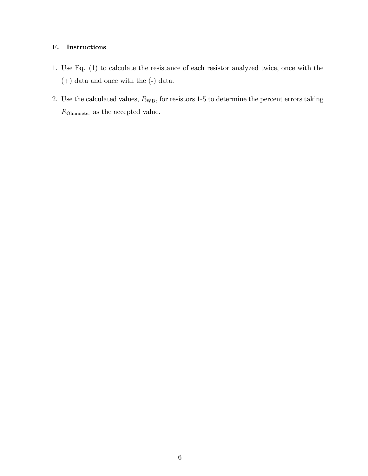### F. Instructions

- 1. Use Eq. (1) to calculate the resistance of each resistor analyzed twice, once with the (+) data and once with the (-) data.
- 2. Use the calculated values,  $R_{\text{WB}}$ , for resistors 1-5 to determine the percent errors taking  $R_{\rm Ohmmeter}$  as the accepted value.